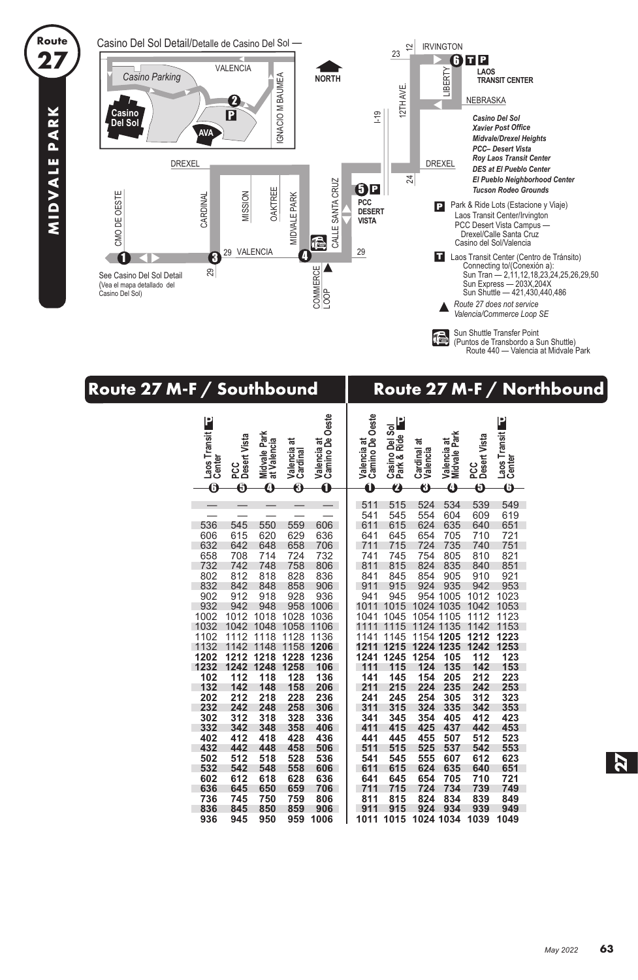

**27**

**MIDVALE PARK**

MIDVALE PARK

Sun Shuttle Transfer Point (Puntos de Transbordo a Sun Shuttle) Route 440 — Valencia at Midvale Park

| Route 27 M-F / Southbound                                                                                                                                           |                                                                                                                                                                                                                                                                                                                                                                                                                                                                                                       |                                                                                                                                             | Route 27 M-F / Northbound                                                                                                                         |                                                                                                                                                                     |                                                                                                                                                                                                                                                               |                                                                                                                            |                                                                                                                                                           |                                                                                                                                                                        |  |  |
|---------------------------------------------------------------------------------------------------------------------------------------------------------------------|-------------------------------------------------------------------------------------------------------------------------------------------------------------------------------------------------------------------------------------------------------------------------------------------------------------------------------------------------------------------------------------------------------------------------------------------------------------------------------------------------------|---------------------------------------------------------------------------------------------------------------------------------------------|---------------------------------------------------------------------------------------------------------------------------------------------------|---------------------------------------------------------------------------------------------------------------------------------------------------------------------|---------------------------------------------------------------------------------------------------------------------------------------------------------------------------------------------------------------------------------------------------------------|----------------------------------------------------------------------------------------------------------------------------|-----------------------------------------------------------------------------------------------------------------------------------------------------------|------------------------------------------------------------------------------------------------------------------------------------------------------------------------|--|--|
| P<br>Laos Transit<br>0                                                                                                                                              | Midvale Park<br>at Valencia<br>PCC<br>Desert Vista<br>ಸ<br>Valencia<br>Cardinal<br>$\overline{\bm{\Theta}}$<br>0<br>0                                                                                                                                                                                                                                                                                                                                                                                 | Valencia at<br>Camino De Oeste<br>$\mathbf 0$                                                                                               | Valencia at<br>Camino De Oeste<br>$\mathbf 0$                                                                                                     | P<br>Casino Del Sol<br>Park & Ride<br>$\boldsymbol{\vartheta}$                                                                                                      | ಸ<br>Cardinal<br>Valencia<br>$\overline{\bm{\Theta}}$                                                                                                                                                                                                         | Valencia at<br>Midvale Park<br>$\bf{O}$                                                                                    | PCC<br>Desert Vista<br>$\overline{\bm{\Theta}}$                                                                                                           | Laos Transit<br>Center<br>$\overline{\mathbf{0}}$                                                                                                                      |  |  |
| 536<br>606<br>632<br>658<br>732<br>802<br>832<br>902<br>932<br>1002<br>1032<br>1102<br>1132<br>1202<br>1232<br>102<br>132<br>202<br>232<br>302<br>332<br>402<br>432 | 545<br>550<br>559<br>615<br>620<br>629<br>642<br>648<br>658<br>708<br>714<br>724<br>742<br>748<br>758<br>812<br>818<br>828<br>842<br>858<br>848<br>928<br>912<br>918<br>958<br>942<br>948<br>1012<br>1018<br>1028<br>1042<br>1048 1058 1106<br>1112 1118 1128 1136<br>1142 1148 1158 1206<br>1212 1218 1228<br>1242 1248 1258<br>112<br>118<br>128<br>142<br>148<br>158<br>212<br>218<br>228<br>248<br>258<br>242<br>312<br>318<br>328<br>342<br>348<br>358<br>412<br>418<br>428<br>442<br>448<br>458 | 606<br>636<br>706<br>732<br>806<br>836<br>906<br>936<br>1006<br>1036<br>1236<br>106<br>136<br>206<br>236<br>306<br>336<br>406<br>436<br>506 | 511<br>541<br>611<br>641<br>711<br>741<br>811<br>841<br>911<br>941<br>1011<br>1041<br>111<br>141<br>211<br>241<br>311<br>341<br>411<br>441<br>511 | 515<br>545<br>615<br>645<br>715<br>745<br>815<br>845<br>915<br>945<br>1015<br>1045<br>1241 1245 1254<br>115<br>145<br>215<br>245<br>315<br>345<br>415<br>445<br>515 | 524<br>554<br>624<br>654<br>724<br>754<br>824<br>854<br>924 935<br>954 1005<br>1024 1035 1042 1053<br>1054 1105<br>1111 1115 1124 1135<br>1141 1145 1154 1205 1212 1223<br>1211 1215 1224 1235<br>124<br>154<br>224<br>254<br>324<br>354<br>425<br>455<br>525 | 534<br>604<br>635<br>705<br>735<br>805<br>835<br>905<br>105<br>135<br>205<br>235<br>305<br>335<br>405<br>437<br>507<br>537 | 539<br>609<br>640<br>710<br>740<br>810<br>840<br>910<br>942<br>1012<br>1112<br>1142<br>112<br>142<br>212<br>242<br>312<br>342<br>412<br>442<br>512<br>542 | 549<br>619<br>651<br>721<br>751<br>821<br>851<br>921<br>953<br>1023<br>1123<br>1153<br>1242 1253<br>123<br>153<br>223<br>253<br>323<br>353<br>423<br>453<br>523<br>553 |  |  |
| 502<br>532<br>602<br>636<br>736<br>836<br>936                                                                                                                       | 528<br>512<br>518<br>542<br>558<br>548<br>612<br>618<br>628<br>645<br>650<br>659<br>745<br>750<br>759<br>845<br>850<br>859<br>945<br>950<br>959                                                                                                                                                                                                                                                                                                                                                       | 536<br>606<br>636<br>706<br>806<br>906<br>1006                                                                                              | 541<br>611<br>641<br>711<br>811<br>911                                                                                                            | 545<br>615<br>645<br>715<br>815<br>915                                                                                                                              | 555<br>624<br>654<br>724<br>824<br>924 934<br>1011 1015 1024 1034 1039                                                                                                                                                                                        | 607<br>635<br>705<br>734<br>834                                                                                            | 612<br>640<br>710<br>739<br>839<br>939                                                                                                                    | 623<br>651<br>721<br>749<br>849<br>949<br>1049                                                                                                                         |  |  |

*May 2022*

**63**

**27**